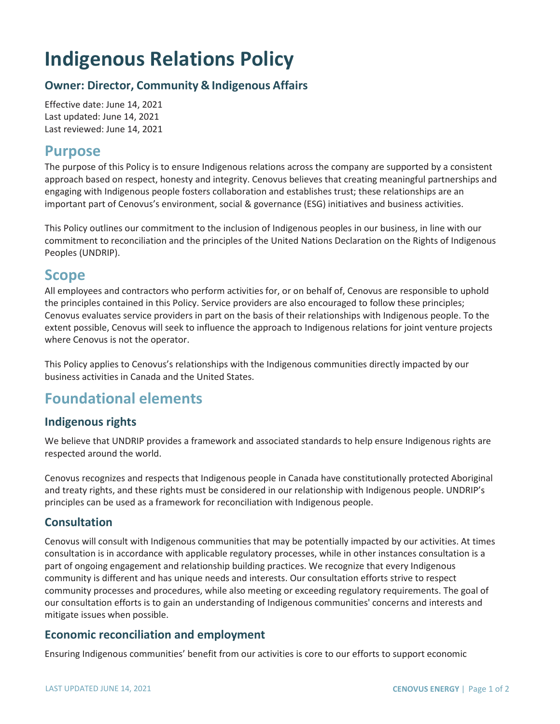# **Indigenous Relations Policy**

#### **Owner: Director, Community & Indigenous Affairs**

Effective date: June 14, 2021 Last updated: June 14, 2021 Last reviewed: June 14, 2021

## **Purpose**

The purpose of this Policy is to ensure Indigenous relations across the company are supported by a consistent approach based on respect, honesty and integrity. Cenovus believes that creating meaningful partnerships and engaging with Indigenous people fosters collaboration and establishes trust; these relationships are an important part of Cenovus's environment, social & governance (ESG) initiatives and business activities.

This Policy outlines our commitment to the inclusion of Indigenous peoples in our business, in line with our commitment to reconciliation and the principles of the United Nations Declaration on the Rights of Indigenous Peoples (UNDRIP).

## **Scope**

All employees and contractors who perform activities for, or on behalf of, Cenovus are responsible to uphold the principles contained in this Policy. Service providers are also encouraged to follow these principles; Cenovus evaluates service providers in part on the basis of their relationships with Indigenous people. To the extent possible, Cenovus will seek to influence the approach to Indigenous relations for joint venture projects where Cenovus is not the operator.

This Policy applies to Cenovus's relationships with the Indigenous communities directly impacted by our business activities in Canada and the United States.

# **Foundational elements**

#### **Indigenous rights**

We believe that UNDRIP provides a framework and associated standards to help ensure Indigenous rights are respected around the world.

Cenovus recognizes and respects that Indigenous people in Canada have constitutionally protected Aboriginal and treaty rights, and these rights must be considered in our relationship with Indigenous people. UNDRIP's principles can be used as a framework for reconciliation with Indigenous people.

#### **Consultation**

Cenovus will consult with Indigenous communities that may be potentially impacted by our activities. At times consultation is in accordance with applicable regulatory processes, while in other instances consultation is a part of ongoing engagement and relationship building practices. We recognize that every Indigenous community is different and has unique needs and interests. Our consultation efforts strive to respect community processes and procedures, while also meeting or exceeding regulatory requirements. The goal of our consultation efforts is to gain an understanding of Indigenous communities' concerns and interests and mitigate issues when possible.

#### **Economic reconciliation and employment**

Ensuring Indigenous communities' benefit from our activities is core to our efforts to support economic